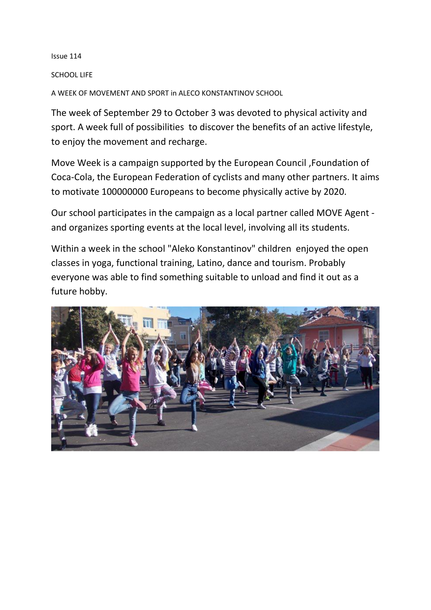Issue 114

## SCHOOL LIFE

A WEEK OF MOVEMENT AND SPORT in ALECO KONSTANTINOV SCHOOL

The week of September 29 to October 3 was devoted to physical activity and sport. A week full of possibilities to discover the benefits of an active lifestyle, to enjoy the movement and recharge.

Move Week is a campaign supported by the European Council ,Foundation of Coca-Cola, the European Federation of cyclists and many other partners. It aims to motivate 100000000 Europeans to become physically active by 2020.

Our school participates in the campaign as a local partner called MOVE Agent and organizes sporting events at the local level, involving all its students.

Within a week in the school "Aleko Konstantinov" children enjoyed the open classes in yoga, functional training, Latino, dance and tourism. Probably everyone was able to find something suitable to unload and find it out as a future hobby.

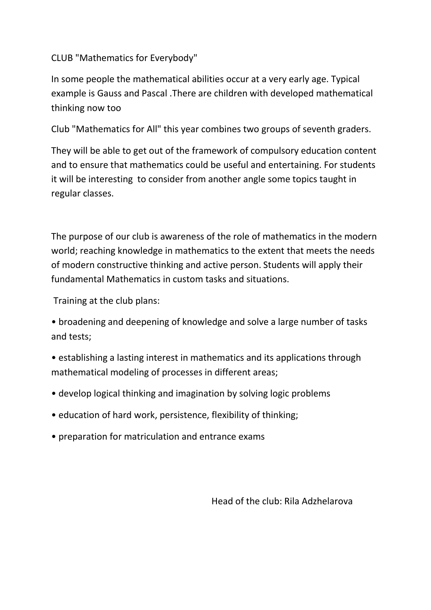CLUB "Mathematics for Everybody"

In some people the mathematical abilities occur at a very early age. Typical example is Gauss and Pascal .There are children with developed mathematical thinking now too

Club "Mathematics for All" this year combines two groups of seventh graders.

They will be able to get out of the framework of compulsory education content and to ensure that mathematics could be useful and entertaining. For students it will be interesting to consider from another angle some topics taught in regular classes.

The purpose of our club is awareness of the role of mathematics in the modern world; reaching knowledge in mathematics to the extent that meets the needs of modern constructive thinking and active person. Students will apply their fundamental Mathematics in custom tasks and situations.

Training at the club plans:

• broadening and deepening of knowledge and solve a large number of tasks and tests;

- establishing a lasting interest in mathematics and its applications through mathematical modeling of processes in different areas;
- develop logical thinking and imagination by solving logic problems
- education of hard work, persistence, flexibility of thinking;
- preparation for matriculation and entrance exams

Head of the club: Rila Adzhelarova